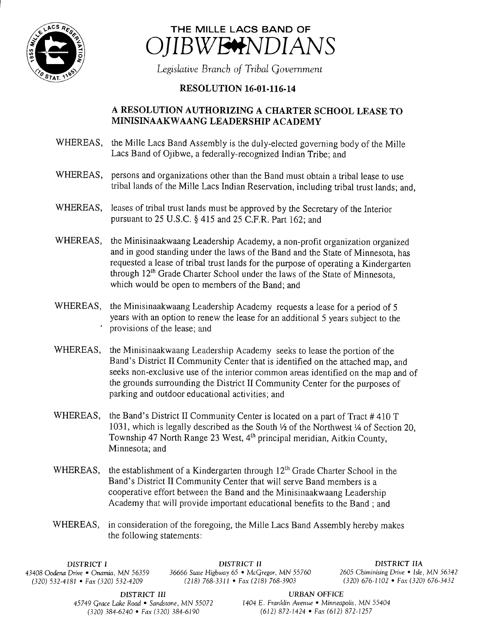



Legislative Branch of Tribal Government

## **RESOLUTION 16-01-116-14**

## A RESOLUTION AUTHORIZING A CHARTER SCHOOL LEASE TO MINISINAAKWAANG LEADERSHIP ACADEMY

- WHEREAS, the Mille Lacs Band Assembly is the duly-elected governing body of the Mille Lacs Band of Ojibwe, a federally-recognized Indian Tribe; and
- WHEREAS, persons and organizations other than the Band must obtain <sup>a</sup> tribal lease to use tribal lands of the Mille Lacs Indian Reservation, including tribal trust lands; and,
- WHEREAS, leases of tribal trust lands must be approved by the Secretary of the Interior pursuant to  $25$  U.S.C. § 415 and  $25$  C.F.R. Part 162; and
- WHEREAS, the Minisinaakwaang Leadership Academy, a non-profit organization organized and in good standing under the laws of the Band and the State of Minnesota, has requested <sup>a</sup> lease of tribal trust lands for the purpose of operating <sup>a</sup> Kindergarten through 12<sup>th</sup> Grade Charter School under the laws of the State of Minnesota, which would be open to members of the Band; and
- WHEREAS, the Minisinaakwaang Leadership Academy requests <sup>a</sup> lease for <sup>a</sup> period of <sup>5</sup> years with an option to renew the lease for an additional <sup>5</sup> years subject to the provisions of the lease; and
- WHEREAS, the Minisinaakwaang Leadership Academy seeks to lease the portion of the Band's District II Community Center that is identified on the attached map, and seeks non-exclusive use of the interior common areas identified on the map and of the grounds surrounding the District II Community Center for the purposes of parking and outdoor educational activities; and
- WHEREAS, the Band's District II Community Center is located on a part of Tract  $\#410$  T 1031, which is legally described as the South  $\frac{1}{2}$  of the Northwest  $\frac{1}{4}$  of Section 20, Township 47 North Range 23 West, 4<sup>th</sup> principal meridian, Aitkin County, Minnesota; and
- WHEREAS, the establishment of a Kindergarten through 12<sup>th</sup> Grade Charter School in the Band's District II Community Center that will serve Band members is a cooperative effort between the Band and the Minisinaakwaang Leadership Academy that will provide important educational benefits to the Band ; and
- WHEREAS, in consideration of the foregoing, the Mille Lacs Band Assembly hereby makes the following statements:

43408 Oodena Drive • Onamia, MN 56359 36666 State Highway 65 • McGregor, MN 55760 <sup>2605</sup> Chiminising Drive • Isle, MN 56342  $(320)$  532-4181 • Fax (320) 532-4209

DISTRICT I DISTRICT II DISTRICT IIA

DISTRICT III URBAN OFFICE

45749 Grace Lake Road • Sandstone, MN 55072 1404 E. Franklin Avenue • Minneapolis, MN 55404 320) 384- 6240 • Fax( 320) 384- 6190 612) 872- 1424 • Fax ( 612) 872- 1257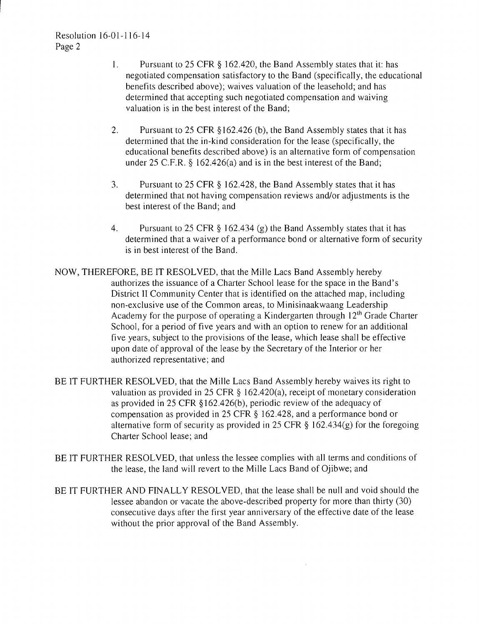- 1. Pursuant to <sup>25</sup> CFR § 162. 420, the Band Assembly states that it: has negotiated compensation satisfactory to the Band ( specifically, the educational benefits described above); waives valuation of the leasehold; and has determined that accepting such negotiated compensation and waiving valuation is in the best interest of the Band;
- 2. Pursuant to 25 CFR § 162.426 (b), the Band Assembly states that it has determined that the in-kind consideration for the lease (specifically, the educational benefits described above) is an alternative form of compensation under 25 C.F.R.  $\S$  162.426(a) and is in the best interest of the Band;
- 3. Pursuant to <sup>25</sup> CFR § 162.428, the Band Assembly states that it has determined that not having compensation reviews and/or adjustments is the best interest of the Band; and
- 4. Pursuant to 25 CFR  $\S$  162.434 (g) the Band Assembly states that it has determined that <sup>a</sup> waiver of <sup>a</sup> performance bond or alternative form of security is in best interest of the Band.
- NOW, THEREFORE, BE IT RESOLVED, that the Mille Lacs Band Assembly hereby authorizes the issuance of <sup>a</sup> Charter School lease for the space in the Band' <sup>s</sup> District II Community Center that is identified on the attached map, including non- exclusive use of the Common areas, to Minisinaakwaang Leadership Academy for the purpose of operating a Kindergarten through  $12<sup>th</sup>$  Grade Charter School, for <sup>a</sup> period of five years and with an option to renew for an additional five years, subject to the provisions of the lease, which lease shall be effective upon date of approval of the lease by the Secretary of the Interior or her authorized representative; and
- BE IT FURTHER RESOLVED, that the Mille Lacs Band Assembly hereby waives its right to valuation as provided in 25 CFR  $\S$  162.420(a), receipt of monetary consideration as provided in 25 CFR § 162.426( b), periodic review of the adequacy of compensation as provided in 25 CFR § 162. 428, and a performance bond or alternative form of security as provided in 25 CFR  $\S$  162.434(g) for the foregoing Charter School lease; and
- BE IT FURTHER RESOLVED, that unless the lessee complies with all terms and conditions of the lease, the land will revert to the Mille Lacs Band of Ojibwe; and
- BE IT FURTHER AND FINALLY RESOLVED, that the lease shall be null and void should the lessee abandon or vacate the above- described property for more than thirty (30) consecutive days after the first year anniversary of the effective date of the lease without the prior approval of the Band Assembly.